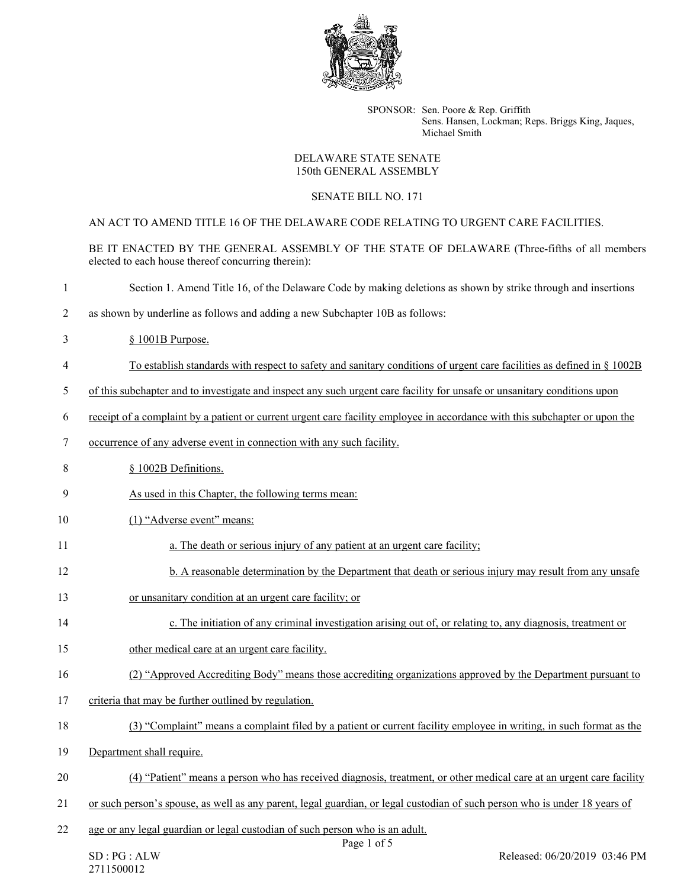

SPONSOR: Sen. Poore & Rep. Griffith Sens. Hansen, Lockman; Reps. Briggs King, Jaques, Michael Smith

## DELAWARE STATE SENATE 150th GENERAL ASSEMBLY

## SENATE BILL NO. 171

AN ACT TO AMEND TITLE 16 OF THE DELAWARE CODE RELATING TO URGENT CARE FACILITIES.

BE IT ENACTED BY THE GENERAL ASSEMBLY OF THE STATE OF DELAWARE (Three-fifths of all members elected to each house thereof concurring therein):

- 1 Section 1. Amend Title 16, of the Delaware Code by making deletions as shown by strike through and insertions
- 2 as shown by underline as follows and adding a new Subchapter 10B as follows:
- 3 § 1001B Purpose.
- 4 To establish standards with respect to safety and sanitary conditions of urgent care facilities as defined in § 1002B
- 5 of this subchapter and to investigate and inspect any such urgent care facility for unsafe or unsanitary conditions upon
- 6 receipt of a complaint by a patient or current urgent care facility employee in accordance with this subchapter or upon the
- 7 occurrence of any adverse event in connection with any such facility.
- 8 § 1002B Definitions.
- 9 As used in this Chapter, the following terms mean:
- 10 (1) "Adverse event" means:
- 11 **a.** The death or serious injury of any patient at an urgent care facility;
- 12 b. A reasonable determination by the Department that death or serious injury may result from any unsafe
- 13 or unsanitary condition at an urgent care facility; or
- 14 c. The initiation of any criminal investigation arising out of, or relating to, any diagnosis, treatment or
- 15 other medical care at an urgent care facility.
- 16 (2) "Approved Accrediting Body" means those accrediting organizations approved by the Department pursuant to
- 17 criteria that may be further outlined by regulation.
- 18 (3) "Complaint" means a complaint filed by a patient or current facility employee in writing, in such format as the
- 19 Department shall require.
- 20 (4) "Patient" means a person who has received diagnosis, treatment, or other medical care at an urgent care facility
- 21 or such person's spouse, as well as any parent, legal guardian, or legal custodian of such person who is under 18 years of
- 22 age or any legal guardian or legal custodian of such person who is an adult.

Page 1 of 5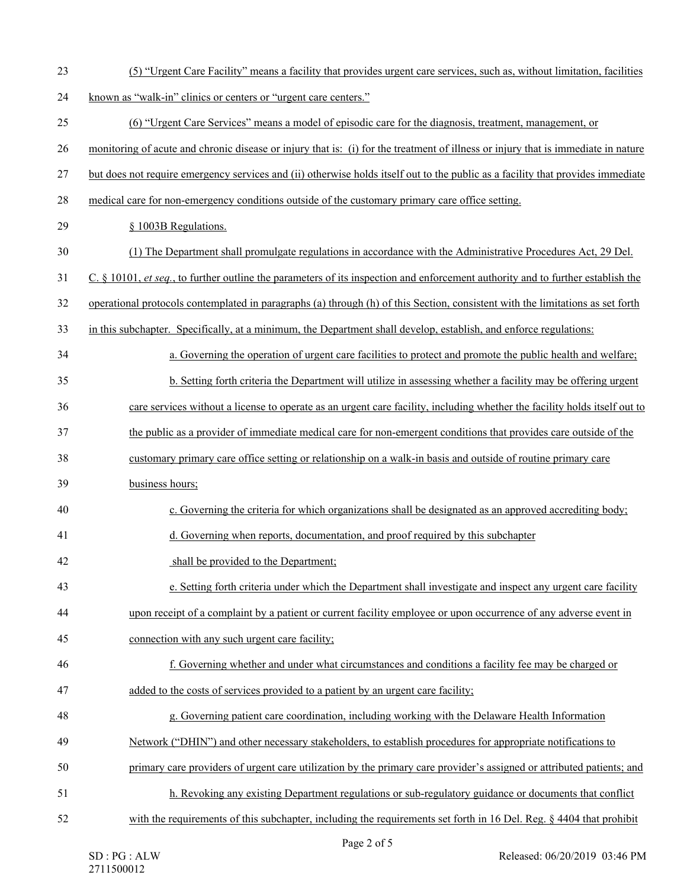| 23 | (5) "Urgent Care Facility" means a facility that provides urgent care services, such as, without limitation, facilities                    |
|----|--------------------------------------------------------------------------------------------------------------------------------------------|
| 24 | known as "walk-in" clinics or centers or "urgent care centers."                                                                            |
| 25 | (6) "Urgent Care Services" means a model of episodic care for the diagnosis, treatment, management, or                                     |
| 26 | monitoring of acute and chronic disease or injury that is: (i) for the treatment of illness or injury that is immediate in nature          |
| 27 | but does not require emergency services and (ii) otherwise holds itself out to the public as a facility that provides immediate            |
| 28 | medical care for non-emergency conditions outside of the customary primary care office setting.                                            |
| 29 | § 1003B Regulations.                                                                                                                       |
| 30 | (1) The Department shall promulgate regulations in accordance with the Administrative Procedures Act, 29 Del.                              |
| 31 | C. $\S$ 10101, <i>et seq.</i> , to further outline the parameters of its inspection and enforcement authority and to further establish the |
| 32 | operational protocols contemplated in paragraphs (a) through (h) of this Section, consistent with the limitations as set forth             |
| 33 | in this subchapter. Specifically, at a minimum, the Department shall develop, establish, and enforce regulations:                          |
| 34 | a. Governing the operation of urgent care facilities to protect and promote the public health and welfare;                                 |
| 35 | b. Setting forth criteria the Department will utilize in assessing whether a facility may be offering urgent                               |
| 36 | care services without a license to operate as an urgent care facility, including whether the facility holds itself out to                  |
| 37 | the public as a provider of immediate medical care for non-emergent conditions that provides care outside of the                           |
| 38 | customary primary care office setting or relationship on a walk-in basis and outside of routine primary care                               |
| 39 | business hours;                                                                                                                            |
| 40 | c. Governing the criteria for which organizations shall be designated as an approved accrediting body;                                     |
| 41 | d. Governing when reports, documentation, and proof required by this subchapter                                                            |
| 42 | shall be provided to the Department;                                                                                                       |
| 43 | e. Setting forth criteria under which the Department shall investigate and inspect any urgent care facility                                |
| 44 | upon receipt of a complaint by a patient or current facility employee or upon occurrence of any adverse event in                           |
| 45 | connection with any such urgent care facility;                                                                                             |
| 46 | f. Governing whether and under what circumstances and conditions a facility fee may be charged or                                          |
| 47 | added to the costs of services provided to a patient by an urgent care facility;                                                           |
| 48 | g. Governing patient care coordination, including working with the Delaware Health Information                                             |
| 49 | Network ("DHIN") and other necessary stakeholders, to establish procedures for appropriate notifications to                                |
| 50 | primary care providers of urgent care utilization by the primary care provider's assigned or attributed patients; and                      |
| 51 | h. Revoking any existing Department regulations or sub-regulatory guidance or documents that conflict                                      |
| 52 | with the requirements of this subchapter, including the requirements set forth in 16 Del. Reg. § 4404 that prohibit                        |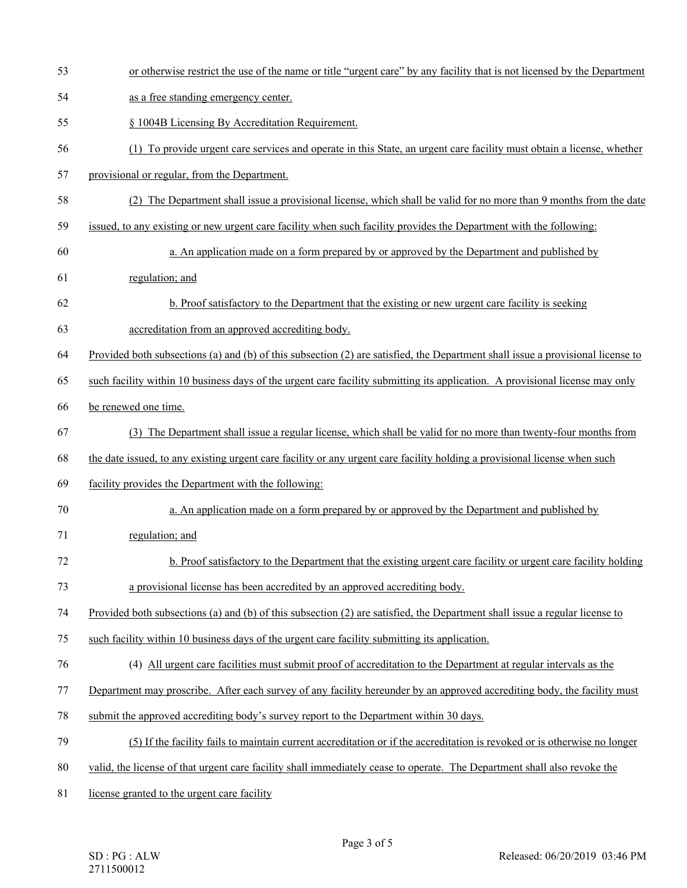53 or otherwise restrict the use of the name or title "urgent care" by any facility that is not licensed by the Department 54 as a free standing emergency center. 55 § 1004B Licensing By Accreditation Requirement. 56 (1) To provide urgent care services and operate in this State, an urgent care facility must obtain a license, whether 57 provisional or regular, from the Department. 58 (2) The Department shall issue a provisional license, which shall be valid for no more than 9 months from the date 59 issued, to any existing or new urgent care facility when such facility provides the Department with the following: 60 a. An application made on a form prepared by or approved by the Department and published by 61 regulation; and 62 b. Proof satisfactory to the Department that the existing or new urgent care facility is seeking 63 accreditation from an approved accrediting body. 64 Provided both subsections (a) and (b) of this subsection (2) are satisfied, the Department shall issue a provisional license to 65 such facility within 10 business days of the urgent care facility submitting its application. A provisional license may only 66 be renewed one time. 67 (3) The Department shall issue a regular license, which shall be valid for no more than twenty-four months from 68 the date issued, to any existing urgent care facility or any urgent care facility holding a provisional license when such 69 facility provides the Department with the following: 70 a. An application made on a form prepared by or approved by the Department and published by 71 regulation; and 72 b. Proof satisfactory to the Department that the existing urgent care facility or urgent care facility holding 73 a provisional license has been accredited by an approved accrediting body. 74 Provided both subsections (a) and (b) of this subsection (2) are satisfied, the Department shall issue a regular license to 75 such facility within 10 business days of the urgent care facility submitting its application. 76 (4) All urgent care facilities must submit proof of accreditation to the Department at regular intervals as the 77 Department may proscribe. After each survey of any facility hereunder by an approved accrediting body, the facility must 78 submit the approved accrediting body's survey report to the Department within 30 days. 79 (5) If the facility fails to maintain current accreditation or if the accreditation is revoked or is otherwise no longer 80 valid, the license of that urgent care facility shall immediately cease to operate. The Department shall also revoke the 81 license granted to the urgent care facility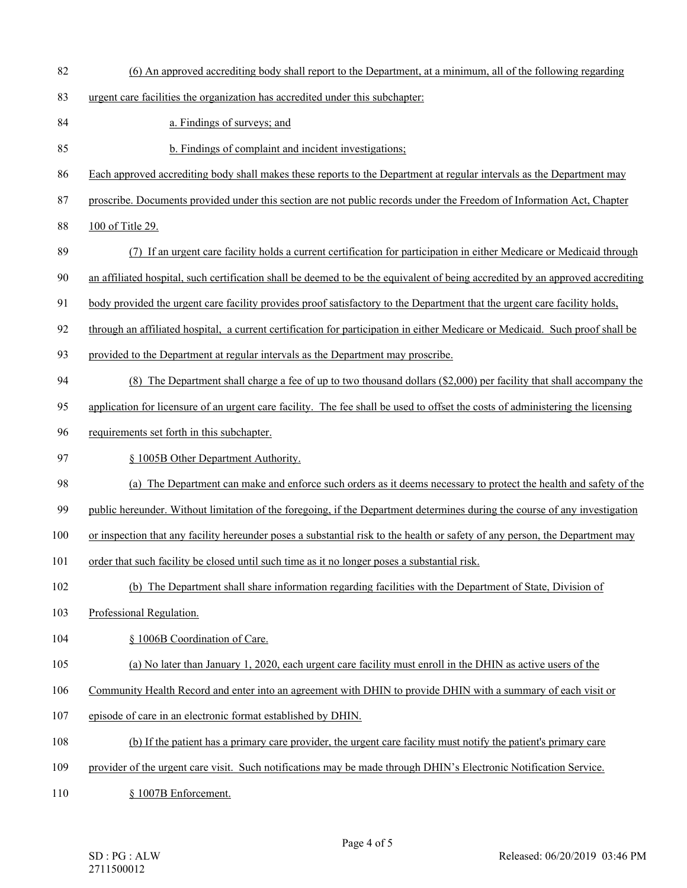- 82 (6) An approved accrediting body shall report to the Department, at a minimum, all of the following regarding
- 83 urgent care facilities the organization has accredited under this subchapter:
- 84 a. Findings of surveys; and
- 85 b. Findings of complaint and incident investigations;
- 86 Each approved accrediting body shall makes these reports to the Department at regular intervals as the Department may
- 87 proscribe. Documents provided under this section are not public records under the Freedom of Information Act, Chapter
- 88 100 of Title 29.
- 89 (7) If an urgent care facility holds a current certification for participation in either Medicare or Medicaid through
- 90 an affiliated hospital, such certification shall be deemed to be the equivalent of being accredited by an approved accrediting
- 91 body provided the urgent care facility provides proof satisfactory to the Department that the urgent care facility holds,
- 92 through an affiliated hospital, a current certification for participation in either Medicare or Medicaid. Such proof shall be
- 93 provided to the Department at regular intervals as the Department may proscribe.
- 94 (8) The Department shall charge a fee of up to two thousand dollars (\$2,000) per facility that shall accompany the
- 95 application for licensure of an urgent care facility. The fee shall be used to offset the costs of administering the licensing
- 96 requirements set forth in this subchapter.
- 97 § 1005B Other Department Authority.
- 98 (a) The Department can make and enforce such orders as it deems necessary to protect the health and safety of the
- 99 public hereunder. Without limitation of the foregoing, if the Department determines during the course of any investigation
- 100 or inspection that any facility hereunder poses a substantial risk to the health or safety of any person, the Department may
- 101 order that such facility be closed until such time as it no longer poses a substantial risk.
- 102 (b) The Department shall share information regarding facilities with the Department of State, Division of
- 103 Professional Regulation.
- 104 § 1006B Coordination of Care.
- 105 (a) No later than January 1, 2020, each urgent care facility must enroll in the DHIN as active users of the
- 106 Community Health Record and enter into an agreement with DHIN to provide DHIN with a summary of each visit or
- 107 episode of care in an electronic format established by DHIN.
- 108 (b) If the patient has a primary care provider, the urgent care facility must notify the patient's primary care
- 109 provider of the urgent care visit. Such notifications may be made through DHIN's Electronic Notification Service.
- 110 § 1007B Enforcement.